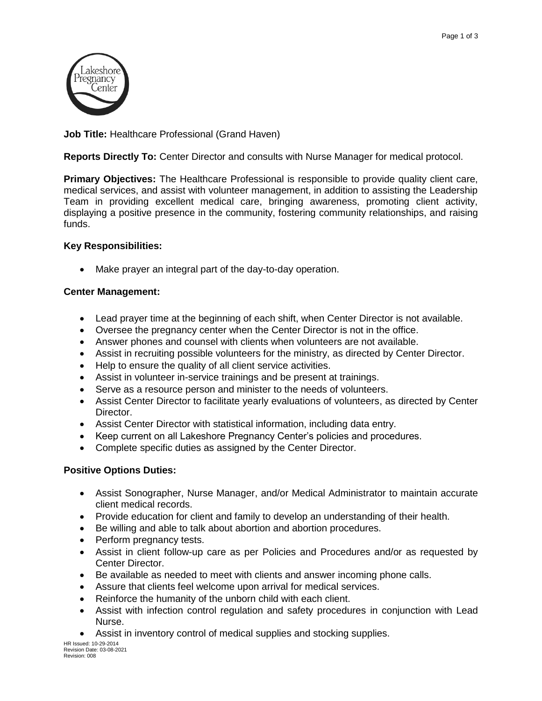

**Job Title:** Healthcare Professional (Grand Haven)

**Reports Directly To:** Center Director and consults with Nurse Manager for medical protocol.

**Primary Objectives:** The Healthcare Professional is responsible to provide quality client care, medical services, and assist with volunteer management, in addition to assisting the Leadership Team in providing excellent medical care, bringing awareness, promoting client activity, displaying a positive presence in the community, fostering community relationships, and raising funds.

# **Key Responsibilities:**

Make prayer an integral part of the day-to-day operation.

### **Center Management:**

- Lead prayer time at the beginning of each shift, when Center Director is not available.
- Oversee the pregnancy center when the Center Director is not in the office.
- Answer phones and counsel with clients when volunteers are not available.
- Assist in recruiting possible volunteers for the ministry, as directed by Center Director.
- Help to ensure the quality of all client service activities.
- Assist in volunteer in-service trainings and be present at trainings.
- Serve as a resource person and minister to the needs of volunteers.
- Assist Center Director to facilitate yearly evaluations of volunteers, as directed by Center Director.
- Assist Center Director with statistical information, including data entry.
- Keep current on all Lakeshore Pregnancy Center's policies and procedures.
- Complete specific duties as assigned by the Center Director.

### **Positive Options Duties:**

- Assist Sonographer, Nurse Manager, and/or Medical Administrator to maintain accurate client medical records.
- Provide education for client and family to develop an understanding of their health.
- Be willing and able to talk about abortion and abortion procedures.
- Perform pregnancy tests.
- Assist in client follow-up care as per Policies and Procedures and/or as requested by Center Director.
- Be available as needed to meet with clients and answer incoming phone calls.
- Assure that clients feel welcome upon arrival for medical services.
- Reinforce the humanity of the unborn child with each client.
- Assist with infection control regulation and safety procedures in conjunction with Lead Nurse.
- Assist in inventory control of medical supplies and stocking supplies.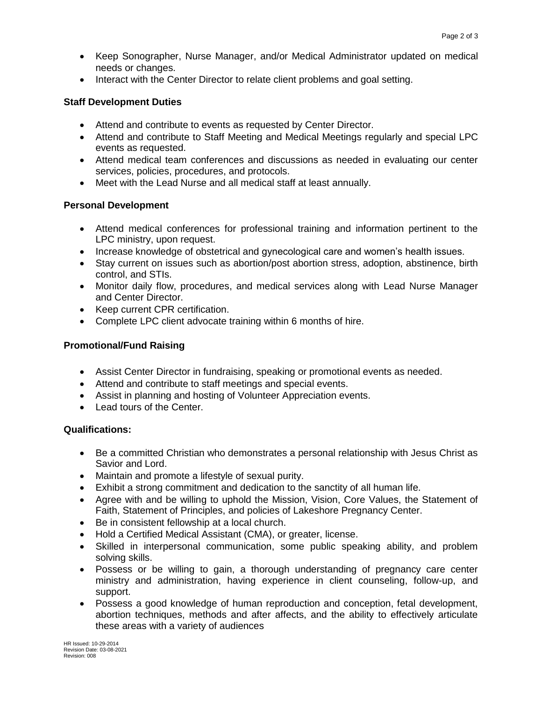- Keep Sonographer, Nurse Manager, and/or Medical Administrator updated on medical needs or changes.
- Interact with the Center Director to relate client problems and goal setting.

### **Staff Development Duties**

- Attend and contribute to events as requested by Center Director.
- Attend and contribute to Staff Meeting and Medical Meetings regularly and special LPC events as requested.
- Attend medical team conferences and discussions as needed in evaluating our center services, policies, procedures, and protocols.
- Meet with the Lead Nurse and all medical staff at least annually.

### **Personal Development**

- Attend medical conferences for professional training and information pertinent to the LPC ministry, upon request.
- Increase knowledge of obstetrical and gynecological care and women's health issues.
- Stay current on issues such as abortion/post abortion stress, adoption, abstinence, birth control, and STIs.
- Monitor daily flow, procedures, and medical services along with Lead Nurse Manager and Center Director.
- Keep current CPR certification.
- Complete LPC client advocate training within 6 months of hire.

# **Promotional/Fund Raising**

- Assist Center Director in fundraising, speaking or promotional events as needed.
- Attend and contribute to staff meetings and special events.
- Assist in planning and hosting of Volunteer Appreciation events.
- Lead tours of the Center.

# **Qualifications:**

- Be a committed Christian who demonstrates a personal relationship with Jesus Christ as Savior and Lord.
- Maintain and promote a lifestyle of sexual purity.
- Exhibit a strong commitment and dedication to the sanctity of all human life.
- Agree with and be willing to uphold the Mission, Vision, Core Values, the Statement of Faith, Statement of Principles, and policies of Lakeshore Pregnancy Center.
- Be in consistent fellowship at a local church.
- Hold a Certified Medical Assistant (CMA), or greater, license.
- Skilled in interpersonal communication, some public speaking ability, and problem solving skills.
- Possess or be willing to gain, a thorough understanding of pregnancy care center ministry and administration, having experience in client counseling, follow-up, and support.
- Possess a good knowledge of human reproduction and conception, fetal development, abortion techniques, methods and after affects, and the ability to effectively articulate these areas with a variety of audiences